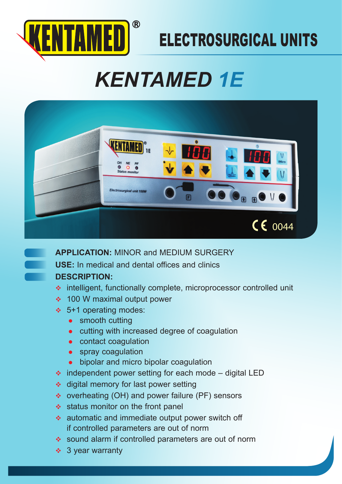

# ELECTROSURGICAL UNITS

# *KENTAMED 1E*



**APPLICATION:** MINOR and MEDIUM SURGERY

**USE:** In medical and dental offices and clinics

## **DESCRIPTION:**

- intelligent, functionally complete, microprocessor controlled unit
- **↑ 100 W maximal output power**
- 5+1 operating modes:
	- $\bullet$  smooth cutting
	- cutting with increased degree of coagulation
	- $\bullet$  contact coagulation
	- $\bullet$  spray coagulation
	- bipolar and micro bipolar coagulation
- $\cdot$  independent power setting for each mode digital LED
- $\triangleleft$  digital memory for last power setting
- ◆ overheating (OH) and power failure (PF) sensors
- $\triangleleft$  status monitor on the front panel
- automatic and immediate output power switch off if controlled parameters are out of norm
- sound alarm if controlled parameters are out of norm
- $\div$  3 year warranty